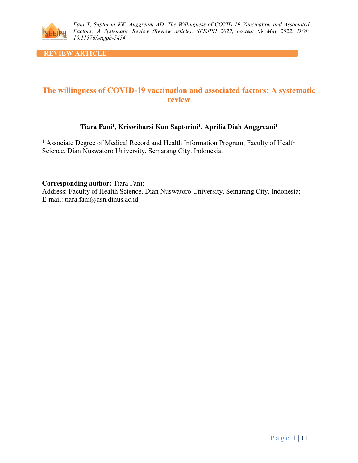

**REVIEW ARTICLE** 

# **The willingness of COVID-19 vaccination and associated factors: A systematic review**

## **Tiara Fani1, Kriswiharsi Kun Saptorini1, Aprilia Diah Anggreani1**

<sup>1</sup> Associate Degree of Medical Record and Health Information Program, Faculty of Health Science, Dian Nuswatoro University, Semarang City. Indonesia.

**Corresponding author:** Tiara Fani;

Address: Faculty of Health Science, Dian Nuswatoro University, Semarang City, Indonesia; E-mail: tiara.fani@dsn.dinus.ac.id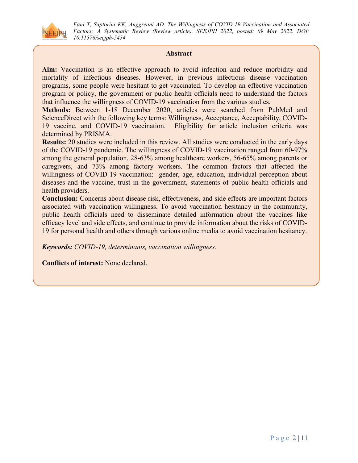

#### **Abstract**

**Aim:** Vaccination is an effective approach to avoid infection and reduce morbidity and mortality of infectious diseases. However, in previous infectious disease vaccination programs, some people were hesitant to get vaccinated. To develop an effective vaccination program or policy, the government or public health officials need to understand the factors that influence the willingness of COVID-19 vaccination from the various studies.

**Methods:** Between 1-18 December 2020, articles were searched from PubMed and ScienceDirect with the following key terms: Willingness, Acceptance, Acceptability, COVID-19 vaccine, and COVID-19 vaccination. Eligibility for article inclusion criteria was determined by PRISMA.

**Results:** 20 studies were included in this review. All studies were conducted in the early days of the COVID-19 pandemic. The willingness of COVID-19 vaccination ranged from 60-97% among the general population, 28-63% among healthcare workers, 56-65% among parents or caregivers, and 73% among factory workers. The common factors that affected the willingness of COVID-19 vaccination: gender, age, education, individual perception about diseases and the vaccine, trust in the government, statements of public health officials and health providers.

**Conclusion:** Concerns about disease risk, effectiveness, and side effects are important factors associated with vaccination willingness. To avoid vaccination hesitancy in the community, public health officials need to disseminate detailed information about the vaccines like efficacy level and side effects, and continue to provide information about the risks of COVID-19 for personal health and others through various online media to avoid vaccination hesitancy.

*Keywords: COVID-19, determinants, vaccination willingness.*

**Conflicts of interest:** None declared.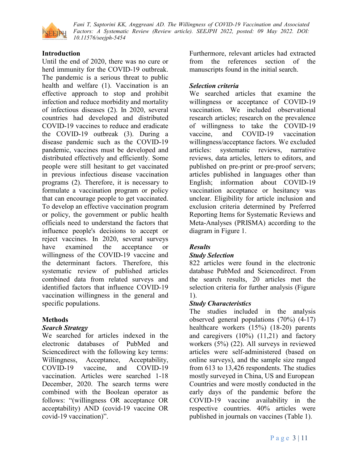

## **Introduction**

Until the end of 2020, there was no cure or herd immunity for the COVID-19 outbreak. The pandemic is a serious threat to public health and welfare (1). Vaccination is an effective approach to stop and prohibit infection and reduce morbidity and mortality of infectious diseases (2). In 2020, several countries had developed and distributed COVID-19 vaccines to reduce and eradicate the COVID-19 outbreak (3). During a disease pandemic such as the COVID-19 pandemic, vaccines must be developed and distributed effectively and efficiently. Some people were still hesitant to get vaccinated in previous infectious disease vaccination programs (2). Therefore, it is necessary to formulate a vaccination program or policy that can encourage people to get vaccinated. To develop an effective vaccination program or policy, the government or public health officials need to understand the factors that influence people's decisions to accept or reject vaccines. In 2020, several surveys have examined the acceptance or willingness of the COVID-19 vaccine and the determinant factors. Therefore, this systematic review of published articles combined data from related surveys and identified factors that influence COVID-19 vaccination willingness in the general and specific populations.

## **Methods**

#### *Search Strategy*

We searched for articles indexed in the electronic databases of PubMed and Sciencedirect with the following key terms: Willingness, Acceptance, Acceptability, COVID-19 vaccine, and COVID-19 vaccination. Articles were searched 1-18 December, 2020. The search terms were combined with the Boolean operator as follows: "(willingness OR acceptance OR acceptability) AND (covid-19 vaccine OR covid-19 vaccination)".

Furthermore, relevant articles had extracted from the references section of the manuscripts found in the initial search.

## *Selection criteria*

We searched articles that examine the willingness or acceptance of COVID-19 vaccination. We included observational research articles; research on the prevalence of willingness to take the COVID-19 vaccine, and COVID-19 vaccination willingness/acceptance factors. We excluded articles: systematic reviews, narrative reviews, data articles, letters to editors, and published on pre-print or pre-proof servers; articles published in languages other than English; information about COVID-19 vaccination acceptance or hesitancy was unclear. Eligibility for article inclusion and exclusion criteria determined by Preferred Reporting Items for Systematic Reviews and Meta-Analyses (PRISMA) according to the diagram in Figure 1.

## *Results*

#### *Study Selection*

822 articles were found in the electronic database PubMed and Sciencedirect. From the search results, 20 articles met the selection criteria for further analysis (Figure 1).

## *Study Characteristics*

The studies included in the analysis observed general populations (70%) (4-17) healthcare workers (15%) (18-20) parents and caregivers (10%) (11,21) and factory workers (5%) (22). All surveys in reviewed articles were self-administered (based on online surveys), and the sample size ranged from 613 to 13,426 respondents. The studies mostly surveyed in China, US and European Countries and were mostly conducted in the early days of the pandemic before the COVID-19 vaccine availability in the respective countries. 40% articles were published in journals on vaccines (Table 1).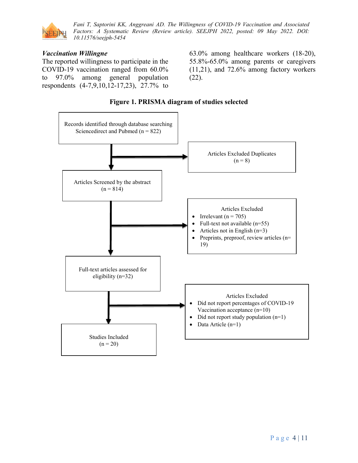

#### *Vaccination Willingne*

The reported willingness to participate in the COVID-19 vaccination ranged from 60.0% to 97.0% among general population respondents (4-7,9,10,12-17,23), 27.7% to

63.0% among healthcare workers (18-20), 55.8%-65.0% among parents or caregivers (11,21), and 72.6% among factory workers (22).



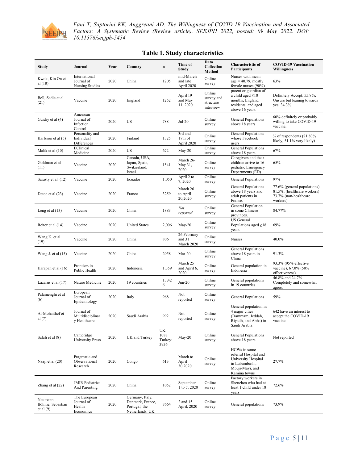

| Study                                       | Journal                                           | Year | Country                                                                 | n                              | Time of<br><b>Study</b>             | Data<br>Collection<br><b>Method</b>            | Characteristic of<br>Participants                                                                                 | <b>COVID-19 Vaccination</b><br><b>Willingness</b>                                               |
|---------------------------------------------|---------------------------------------------------|------|-------------------------------------------------------------------------|--------------------------------|-------------------------------------|------------------------------------------------|-------------------------------------------------------------------------------------------------------------------|-------------------------------------------------------------------------------------------------|
| Kwok, Kin On et<br>al (18)                  | International<br>Journal of<br>Nursing Studies    | 2020 | China                                                                   | 1205                           | mid-March<br>and late<br>April 2020 | Online<br>survey                               | Nurses with mean<br>$age = 40.79$ , mostly<br>female nurses (90%).                                                | 63%                                                                                             |
| Bell, Sadie et al<br>(21)                   | Vaccine                                           | 2020 | England                                                                 | 1252                           | April 19<br>and May<br>11, 2020     | Online<br>survey and<br>structure<br>interview | parent or guardian of<br>a child aged $\leq$ 18<br>months, England<br>residents, and aged<br>above 16 years.      | Definitely Accept: 55.8%;<br>Unsure but leaning towards<br>yes: 34.3%                           |
| Guidry et al (4)                            | American<br>Journal of<br>Infection<br>Control    | 2020 | US                                                                      | 788                            | $Jul-20$                            | Online<br>survey                               | General Populations<br>above 18 years                                                                             | 60% definitely or probably<br>willing to take COVID-19<br>vaccine.                              |
| Karlsson et al (5)                          | Personality and<br>Individual<br>Differences      | 2020 | Finland                                                                 | 1325                           | 3rd and<br>17th of<br>April 2020    | Online<br>survey                               | General Populations<br>whose Facebook<br>users                                                                    | $\frac{3}{4}$ of respondents (21.83%)<br>likely, 51.1% very likely)                             |
| Malik et al (10)                            | EClinical<br>Medicine                             | 2020 | US                                                                      | 672                            | May-20                              | Online<br>survey                               | General Populations<br>above 18 years                                                                             | 67%                                                                                             |
| Goldman et al<br>(11)                       | Vaccine                                           | 2020 | Canada, USA,<br>Japan, Spain,<br>Switzerland,<br>Israel.                | 1541                           | March 26-<br>May 31,<br>2020        | Online<br>survey                               | Caregivers and their<br>children arrive to 16<br>pediatric Emergency<br>Departments (ED)                          | 65%                                                                                             |
| Sarasty et al (12)                          | Vaccine                                           | 2020 | Ecuador                                                                 | 1,050                          | April 2 to<br>7,2020                | Online<br>survey                               | <b>General Populations</b>                                                                                        | 97%                                                                                             |
| Detoc et al (23)                            | Vaccine                                           | 2020 | France                                                                  | 3259                           | March 26<br>to April<br>20,2020     | Online<br>survey                               | General Populations<br>above 18 years and<br>adult patients in<br>France.                                         | 77.6% (general populations)<br>81.5%, (healthcare workers)<br>73.7% (non-healthcare<br>workers) |
| Leng et al $(13)$                           | Vaccine                                           | 2020 | China                                                                   | 1883                           | Not<br>reported                     | Online<br>survey                               | General Population<br>in some Chinese<br>provinces.                                                               | 84.77%                                                                                          |
| Reiter et al (14)                           | Vaccine                                           | 2020 | <b>United States</b>                                                    | 2,006                          | $May-20$                            | Online<br>survey                               | <b>US</b> General<br>Populations aged $\geq$ 18<br>years                                                          | 69%                                                                                             |
| Wang K. et al<br>(19)                       | Vaccine                                           | 2020 | China                                                                   | 806                            | 26 February<br>and 31<br>March 2020 | Online<br>survey                               | Nurses                                                                                                            | 40.0%                                                                                           |
| Wang J. et al $(15)$                        | Vaccine                                           | 2020 | China                                                                   | 2058                           | $Mar-20$                            | Online<br>survey                               | General Populations<br>above 18 years in<br>China                                                                 | 91.3%                                                                                           |
| Harapan et al (16)                          | Frontiers in<br>Public Health                     | 2020 | Indonesia                                                               | 1,359                          | March 25<br>and April 6,<br>2020    | Online<br>survey                               | General population in<br>Indonesia                                                                                | 93.3% (95% effective<br>vaccine), 67.0% (50%<br>effectiveness)                                  |
| Lazarus et al (17)                          | Nature Medicine                                   | 2020 | 19 countries                                                            | 13,42<br>6                     | $Jun-20$                            | Online<br>survey                               | General populations<br>in 19 countries                                                                            | 46.8% and 24.7%<br>Completely and somewhat<br>agree.                                            |
| Palamenghi et al<br>(6)                     | European<br>Journal of<br>Epidemiology            | 2020 | Italy                                                                   | 968                            | Not<br>reported                     | Online<br>survey                               | General Populations                                                                                               | 59%                                                                                             |
| Al-Mohaithef et<br>al $(7)$                 | Journal of<br>Multidisciplinar<br>y Healthcare    | 2020 | Saudi Arabia                                                            | 992                            | Not<br>reported                     | Online<br>survey                               | General population in<br>4 major cities<br>(Dammam, Jeddah,<br>Riyadh, and Abha) in<br>Saudi Arabia               | 642 have an interest to<br>accept the COVID-19<br>vaccine                                       |
| Salali et al (8)                            | Cambridge<br><b>University Press</b>              | 2020 | UK and Turkey                                                           | UK:<br>1088<br>Turkey:<br>3936 | $May-20$                            | Online<br>survey                               | <b>General Populations</b><br>above 18 years                                                                      | Not reported                                                                                    |
| Nzaji et al (20)                            | Pragmatic and<br>Observational<br>Research        | 2020 | Congo                                                                   | 613                            | March to<br>April<br>30,2020        | Online<br>survey                               | HCWs in some<br>referral Hospital and<br>University Hospital<br>in Lubumbashi,<br>Mbuji-Mayi, and<br>Kamina towns | 27.7%                                                                                           |
| Zhang et al (22)                            | <b>JMIR Pediatrics</b><br>And Parenting           | 2020 | China                                                                   | 1052                           | September<br>1 to 7, 2020           | Online<br>survey                               | Factory workers in<br>Shenzhen who had at<br>least 1 child under 18<br>years                                      | 72.6%                                                                                           |
| Neumann-<br>Böhme, Sebastian<br>et al $(9)$ | The European<br>Journal of<br>Health<br>Economics | 2020 | Germany, Italy,<br>Denmark, France,<br>Portugal, the<br>Netherlands, UK | 7664                           | 2 and 15<br>April, 2020             | Online<br>survey                               | General populations                                                                                               | 73.9%                                                                                           |

#### **Table 1. Study characteristics**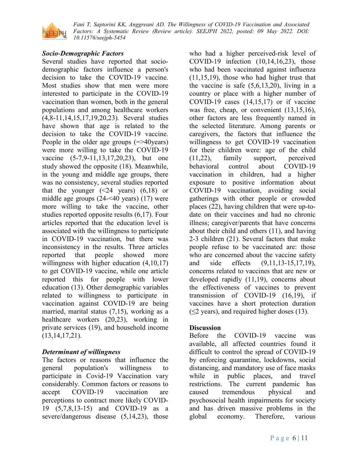

## *Socio-Demographic Factors*

Several studies have reported that sociodemographic factors influence a person's decision to take the COVID-19 vaccine. Most studies show that men were more interested to participate in the COVID-19 vaccination than women, both in the general populations and among healthcare workers (4,8-11,14,15,17,19,20,23). Several studies have shown that age is related to the decision to take the COVID-19 vaccine. People in the older age groups (=>40years) were more willing to take the COVID-19 vaccine (5-7,9-11,13,17,20,23), but one study showed the opposite (18). Meanwhile, in the young and middle age groups, there was no consistency, several studies reported that the younger  $(\leq 24$  years)  $(6,18)$  or middle age groups (24-<40 years) (17) were more willing to take the vaccine, other studies reported opposite results (6,17). Four articles reported that the education level is associated with the willingness to participate in COVID-19 vaccination, but there was inconsistency in the results. Three articles reported that people showed more willingness with higher education  $(4,10,17)$ to get COVID-19 vaccine, while one article reported this for people with lower education (13). Other demographic variables related to willingness to participate in vaccination against COVID-19 are being married, marital status (7,15), working as a healthcare workers (20,23), working in private services (19), and household income (13,14,17,21).

## *Determinant of willingness*

The factors or reasons that influence the general population's willingness to participate in Covid-19 Vaccination vary considerably. Common factors or reasons to accept COVID-19 vaccination are perceptions to contract more likely COVID-19 (5,7,8,13-15) and COVID-19 as a severe/dangerous disease (5,14,23), those

who had a higher perceived-risk level of COVID-19 infection (10,14,16,23), those who had been vaccinated against influenza (11,15,19), those who had higher trust that the vaccine is safe  $(5,6,13,20)$ , living in a country or place with a higher number of COVID-19 cases (14,15,17) or if vaccine was free, cheap, or convenient (13,15,16), other factors are less frequently named in the selected literature. Among parents or caregivers, the factors that influence the willingness to get COVID-19 vaccination for their children were: age of the child (11,22), family support, perceived behavioral control about COVID-19 vaccination in children, had a higher exposure to positive information about COVID-19 vaccination, avoiding social gatherings with other people or crowded places (22), having children that were up-todate on their vaccines and had no chronic illness; caregiver/parents that have concerns about their child and others (11), and having 2-3 children (21). Several factors that make people refuse to be vaccinated are: those who are concerned about the vaccine safety and side effects (9,11,13-15,17,19), concerns related to vaccines that are new or developed rapidly (11,19), concerns about the effectiveness of vaccines to prevent transmission of COVID-19 (16,19), if vaccines have a short protection duration  $(\leq 2$  years), and required higher doses (13).

## **Discussion**

Before the COVID-19 vaccine was available, all affected countries found it difficult to control the spread of COVID-19 by enforcing quarantine, lockdowns, social distancing, and mandatory use of face masks while in public places, and travel restrictions. The current pandemic has caused tremendous physical and psychosocial health impairments for society and has driven massive problems in the global economy. Therefore, various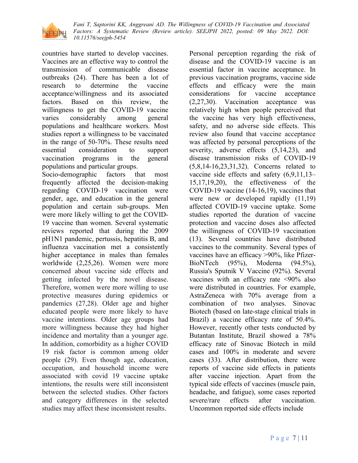

countries have started to develop vaccines. Vaccines are an effective way to control the transmission of communicable disease outbreaks (24). There has been a lot of research to determine the vaccine acceptance/willingness and its associated factors. Based on this review, the willingness to get the COVID-19 vaccine varies considerably among general populations and healthcare workers. Most studies report a willingness to be vaccinated in the range of 50-70%. These results need essential consideration to support vaccination programs in the general populations and particular groups.

Socio-demographic factors that most frequently affected the decision-making regarding COVID-19 vaccination were gender, age, and education in the general population and certain sub-groups. Men were more likely willing to get the COVID-19 vaccine than women. Several systematic reviews reported that during the 2009 pH1N1 pandemic, pertussis, hepatitis B, and influenza vaccination met a consistently higher acceptance in males than females worldwide (2,25,26). Women were more concerned about vaccine side effects and getting infected by the novel disease. Therefore, women were more willing to use protective measures during epidemics or pandemics (27,28). Older age and higher educated people were more likely to have vaccine intentions. Older age groups had more willingness because they had higher incidence and mortality than a younger age. In addition, comorbidity as a higher COVID 19 risk factor is common among older people (29). Even though age, education, occupation, and household income were associated with covid 19 vaccine uptake intentions, the results were still inconsistent between the selected studies. Other factors and category differences in the selected studies may affect these inconsistent results.

Personal perception regarding the risk of disease and the COVID-19 vaccine is an essential factor in vaccine acceptance. In previous vaccination programs, vaccine side effects and efficacy were the main considerations for vaccine acceptance (2,27,30). Vaccination acceptance was relatively high when people perceived that the vaccine has very high effectiveness, safety, and no adverse side effects. This review also found that vaccine acceptance was affected by personal perceptions of the severity, adverse effects  $(5,14,23)$ , and disease transmission risks of COVID-19 (5,8,14-16,23,31,32). Concerns related to vaccine side effects and safety (6,9,11,13– 15,17,19,20), the effectiveness of the COVID-19 vaccine (14-16,19), vaccines that were new or developed rapidly  $(11,19)$ affected COVID-19 vaccine uptake. Some studies reported the duration of vaccine protection and vaccine doses also affected the willingness of COVID-19 vaccination (13). Several countries have distributed vaccines to the community. Several types of vaccines have an efficacy >90%, like Pfizer-BioNTech (95%), Moderna (94.5%), Russia's Sputnik V Vaccine (92%). Several vaccines with an efficacy rate <90% also were distributed in countries. For example, AstraZeneca with 70% average from a combination of two analyses. Sinovac Biotech (based on late-stage clinical trials in Brazil) a vaccine efficacy rate of 50.4%. However, recently other tests conducted by Butantan Institute, Brazil showed a 78% efficacy rate of Sinovac Biotech in mild cases and 100% in moderate and severe cases (33). After distribution, there were reports of vaccine side effects in patients after vaccine injection. Apart from the typical side effects of vaccines (muscle pain, headache, and fatigue), some cases reported severe/rare effects after vaccination. Uncommon reported side effects include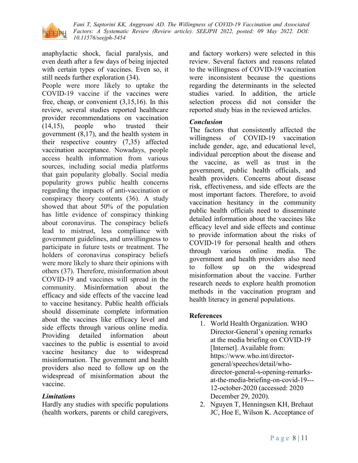

anaphylactic shock, facial paralysis, and even death after a few days of being injected with certain types of vaccines. Even so, it still needs further exploration (34).

People were more likely to uptake the COVID-19 vaccine if the vaccines were free, cheap, or convenient (3,15,16). In this review, several studies reported healthcare provider recommendations on vaccination (14,15), people who trusted their government (8,17), and the health system in their respective country (7,35) affected vaccination acceptance. Nowadays, people access health information from various sources, including social media platforms that gain popularity globally. Social media popularity grows public health concerns regarding the impacts of anti-vaccination or conspiracy theory contents (36). A study showed that about 50% of the population has little evidence of conspiracy thinking about coronavirus. The conspiracy beliefs lead to mistrust, less compliance with government guidelines, and unwillingness to participate in future tests or treatment. The holders of coronavirus conspiracy beliefs were more likely to share their opinions with others (37). Therefore, misinformation about COVID-19 and vaccines will spread in the community. Misinformation about the efficacy and side effects of the vaccine lead to vaccine hesitancy. Public health officials should disseminate complete information about the vaccines like efficacy level and side effects through various online media. Providing detailed information about vaccines to the public is essential to avoid vaccine hesitancy due to widespread misinformation. The government and health providers also need to follow up on the widespread of misinformation about the vaccine.

## *Limitations*

Hardly any studies with specific populations (health workers, parents or child caregivers, and factory workers) were selected in this review. Several factors and reasons related to the willingness of COVID-19 vaccination were inconsistent because the questions regarding the determinants in the selected studies varied. In addition, the article selection process did not consider the reported study bias in the reviewed articles.

## *Conclusion*

The factors that consistently affected the willingness of COVID-19 vaccination include gender, age, and educational level, individual perception about the disease and the vaccine, as well as trust in the government, public health officials, and health providers. Concerns about disease risk, effectiveness, and side effects are the most important factors. Therefore, to avoid vaccination hesitancy in the community public health officials need to disseminate detailed information about the vaccines like efficacy level and side effects and continue to provide information about the risks of COVID-19 for personal health and others through various online media. The government and health providers also need to follow up on the widespread misinformation about the vaccine. Further research needs to explore health promotion methods in the vaccination program and health literacy in general populations.

#### **References**

- 1. World Health Organization. WHO Director-General's opening remarks at the media briefing on COVID-19 [Internet]. Available from: https://www.who.int/directorgeneral/speeches/detail/whodirector-general-s-opening-remarksat-the-media-briefing-on-covid-19--- 12-october-2020 (accessed: 2020 December 29, 2020).
- 2. Nguyen T, Henningsen KH, Brehaut JC, Hoe E, Wilson K. Acceptance of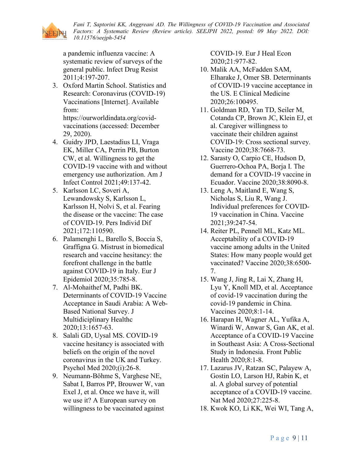

a pandemic influenza vaccine: A systematic review of surveys of the general public. Infect Drug Resist 2011;4:197-207.

3. Oxford Martin School. Statistics and Research: Coronavirus (COVID-19) Vaccinations [Internet]. Available from:

https://ourworldindata.org/covidvaccinations (accessed: December 29, 2020).

- 4. Guidry JPD, Laestadius LI, Vraga EK, Miller CA, Perrin PB, Burton CW, et al. Willingness to get the COVID-19 vaccine with and without emergency use authorization. Am J Infect Control 2021;49:137-42.
- 5. Karlsson LC, Soveri A, Lewandowsky S, Karlsson L, Karlsson H, Nolvi S, et al. Fearing the disease or the vaccine: The case of COVID-19. Pers Individ Dif 2021;172:110590.
- 6. Palamenghi L, Barello S, Boccia S, Graffigna G. Mistrust in biomedical research and vaccine hesitancy: the forefront challenge in the battle against COVID-19 in Italy. Eur J Epidemiol 2020;35:785-8.
- 7. Al-Mohaithef M, Padhi BK. Determinants of COVID-19 Vaccine Acceptance in Saudi Arabia: A Web-Based National Survey. J Multidiciplinary Healthc 2020;13:1657-63.
- 8. Salali GD, Uysal MS. COVID-19 vaccine hesitancy is associated with beliefs on the origin of the novel coronavirus in the UK and Turkey. Psychol Med 2020;(i):26-8.
- 9. Neumann-Böhme S, Varghese NE, Sabat I, Barros PP, Brouwer W, van Exel J, et al. Once we have it, will we use it? A European survey on willingness to be vaccinated against

COVID-19. Eur J Heal Econ 2020;21:977-82.

- 10. Malik AA, McFadden SAM, Elharake J, Omer SB. Determinants of COVID-19 vaccine acceptance in the US. E Clinical Medicine 2020;26:100495.
- 11. Goldman RD, Yan TD, Seiler M, Cotanda CP, Brown JC, Klein EJ, et al. Caregiver willingness to vaccinate their children against COVID-19: Cross sectional survey. Vaccine 2020;38:7668-73.
- 12. Sarasty O, Carpio CE, Hudson D, Guerrero-Ochoa PA, Borja I. The demand for a COVID-19 vaccine in Ecuador. Vaccine 2020;38:8090-8.
- 13. Leng A, Maitland E, Wang S, Nicholas S, Liu R, Wang J. Individual preferences for COVID-19 vaccination in China. Vaccine 2021;39:247-54.
- 14. Reiter PL, Pennell ML, Katz ML. Acceptability of a COVID-19 vaccine among adults in the United States: How many people would get vaccinated? Vaccine 2020;38:6500- 7.
- 15. Wang J, Jing R, Lai X, Zhang H, Lyu Y, Knoll MD, et al. Acceptance of covid-19 vaccination during the covid-19 pandemic in China. Vaccines 2020;8:1-14.
- 16. Harapan H, Wagner AL, Yufika A, Winardi W, Anwar S, Gan AK, et al. Acceptance of a COVID-19 Vaccine in Southeast Asia: A Cross-Sectional Study in Indonesia. Front Public Health 2020;8:1-8.
- 17. Lazarus JV, Ratzan SC, Palayew A, Gostin LO, Larson HJ, Rabin K, et al. A global survey of potential acceptance of a COVID-19 vaccine. Nat Med 2020;27:225-8.
- 18. Kwok KO, Li KK, Wei WI, Tang A,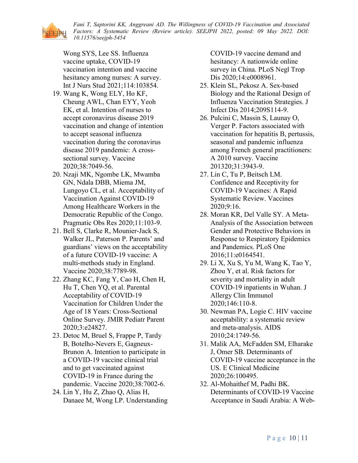Wong SYS, Lee SS. Influenza vaccine uptake, COVID-19 vaccination intention and vaccine hesitancy among nurses: A survey. Int J Nurs Stud 2021;114:103854.

- 19. Wang K, Wong ELY, Ho KF, Cheung AWL, Chan EYY, Yeoh EK, et al. Intention of nurses to accept coronavirus disease 2019 vaccination and change of intention to accept seasonal influenza vaccination during the coronavirus disease 2019 pandemic: A crosssectional survey. Vaccine 2020;38:7049-56.
- 20. Nzaji MK, Ngombe LK, Mwamba GN, Ndala DBB, Miema JM, Lungoyo CL, et al. Acceptability of Vaccination Against COVID-19 Among Healthcare Workers in the Democratic Republic of the Congo. Pragmatic Obs Res 2020;11:103-9.
- 21. Bell S, Clarke R, Mounier-Jack S, Walker JL, Paterson P. Parents' and guardians' views on the acceptability of a future COVID-19 vaccine: A multi-methods study in England. Vaccine 2020;38:7789-98.
- 22. Zhang KC, Fang Y, Cao H, Chen H, Hu T, Chen YQ, et al. Parental Acceptability of COVID-19 Vaccination for Children Under the Age of 18 Years: Cross-Sectional Online Survey. JMIR Pediatr Parent 2020;3:e24827.
- 23. Detoc M, Bruel S, Frappe P, Tardy B, Botelho-Nevers E, Gagneux-Brunon A. Intention to participate in a COVID-19 vaccine clinical trial and to get vaccinated against COVID-19 in France during the pandemic. Vaccine 2020;38:7002-6.
- 24. Lin Y, Hu Z, Zhao Q, Alias H, Danaee M, Wong LP. Understanding

COVID-19 vaccine demand and hesitancy: A nationwide online survey in China. PLoS Negl Trop Dis 2020;14:e0008961.

- 25. Klein SL, Pekosz A. Sex-based Biology and the Rational Design of Influenza Vaccination Strategies. J Infect Dis 2014;209S114-9.
- 26. Pulcini C, Massin S, Launay O, Verger P. Factors associated with vaccination for hepatitis B, pertussis, seasonal and pandemic influenza among French general practitioners: A 2010 survey. Vaccine 201320;31:3943-9.
- 27. Lin C, Tu P, Beitsch LM. Confidence and Receptivity for COVID-19 Vaccines: A Rapid Systematic Review. Vaccines 2020;9:16.
- 28. Moran KR, Del Valle SY. A Meta-Analysis of the Association between Gender and Protective Behaviors in Response to Respiratory Epidemics and Pandemics. PLoS One 2016;11:e0164541.
- 29. Li X, Xu S, Yu M, Wang K, Tao Y, Zhou Y, et al. Risk factors for severity and mortality in adult COVID-19 inpatients in Wuhan. J Allergy Clin Immunol 2020;146:110-8.
- 30. Newman PA, Logie C. HIV vaccine acceptability: a systematic review and meta-analysis. AIDS 2010;24:1749-56.
- 31. Malik AA, McFadden SM, Elharake J, Omer SB. Determinants of COVID-19 vaccine acceptance in the US. E Clinical Medicine 2020;26:100495.
- 32. Al-Mohaithef M, Padhi BK. Determinants of COVID-19 Vaccine Acceptance in Saudi Arabia: A Web-